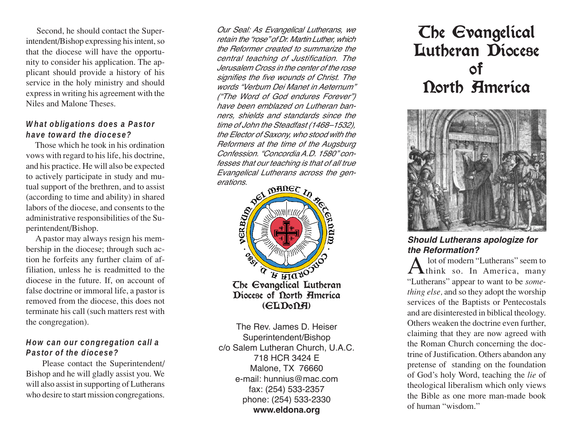Second, he should contact the Superintendent/Bishop expressing his intent, so that the diocese will have the opportunity to consider his application. The applicant should provide a history of his service in the holy ministry and should expressin writing his agreement with the Niles and Malone Theses.

#### **What obligations does a Pastor have toward the diocese?**

Those which he took in his ordination vows with regard to his life, his doctrine, and his practice. He will also be expected to actively participate in study and mutual support of the brethren, and to assist (according to time and ability) in shared labors of the diocese, and consents to the administrative responsibilities of the Superintendent/Bishop.

A pastor may always resign his membership in the diocese; through such action he forfeits any further claim of affiliation, unless he is readmitted to the diocese in the future. If, on account of false doctrine or immoral life, a pastor is removed from the diocese, this does not terminate his call (such matters rest with the congregation).

#### **How can our congregation call a Pastor of the diocese?**

Please contact the Superintendent/ Bishop and he will gladly assist you. We will also assist in supporting of Lutherans who desire to start mission congregations.

Our Seal: As Evangelical Lutherans, we retain the "rose" of Dr. Martin Luther, which the Reformer created to summarize the central teaching of Justification. The Jerusalem Cross in the center of the rose signifies the five wounds of Christ. The words "Verbum Dei Manet in Aeternum" ("The Word of God endures Forever") have been emblazed on Lutheran banners, shields and standards since the time of John the Steadfast (1468–1532), the Elector of Saxony, who stood with the Reformers at the time of the Augsburg Confession. "Concordia A.D. 1580" confesses that our teaching is that of all true Evangelical Lutherans across the gen-



The Rev. James D. Heiser Superintendent/Bishop c/o Salem Lutheran Church, U.A.C. 718 HCR 3424 E Malone, TX 76660 e-mail: hunnius@mac.com fax: (254) 533-2357 phone: (254) 533-2330 **www.eldona.org**

# The Evangelical Lutheran Diocese of North America



### **Should Lutherans apologize for the Reformation?**

A lot of modern "Lutherans" seem to<br>think so. In America, many "Lutherans" appear to want to be *something else,* and so they adopt the worship services of the Baptists or Pentecostals and are disinterested in biblical theology. Others weaken the doctrine even further, claiming that they are now agreed with the Roman Church concerning the doctrine of Justification. Others abandon any pretense of standing on the foundation of God's holy Word, teaching the *lie* of theological liberalism which only views the Bible as one more man-made book of human "wisdom."